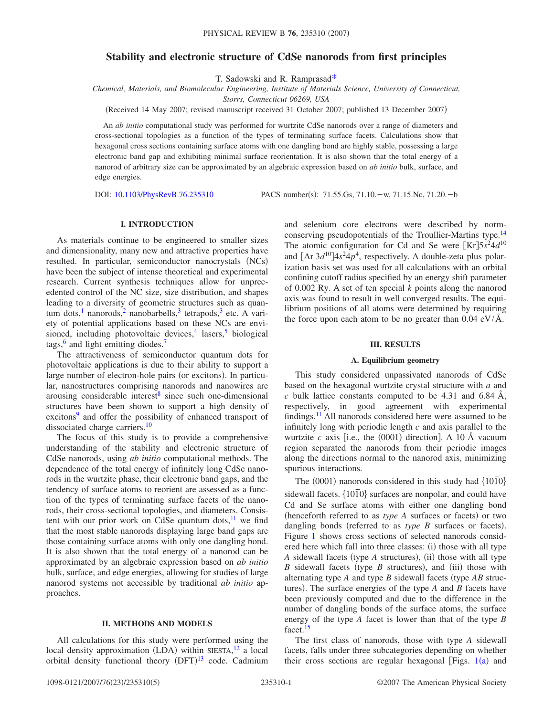# **Stability and electronic structure of CdSe nanorods from first principles**

T. Sadowski and R. Ramprasa[d\\*](#page-4-0)

*Chemical, Materials, and Biomolecular Engineering, Institute of Materials Science, University of Connecticut,*

*Storrs, Connecticut 06269, USA*

(Received 14 May 2007; revised manuscript received 31 October 2007; published 13 December 2007)

An *ab initio* computational study was performed for wurtzite CdSe nanorods over a range of diameters and cross-sectional topologies as a function of the types of terminating surface facets. Calculations show that hexagonal cross sections containing surface atoms with one dangling bond are highly stable, possessing a large electronic band gap and exhibiting minimal surface reorientation. It is also shown that the total energy of a nanorod of arbitrary size can be approximated by an algebraic expression based on *ab initio* bulk, surface, and edge energies.

DOI: [10.1103/PhysRevB.76.235310](http://dx.doi.org/10.1103/PhysRevB.76.235310)

PACS number(s): 71.55.Gs, 71.10. - w, 71.15.Nc, 71.20. - b

# **I. INTRODUCTION**

As materials continue to be engineered to smaller sizes and dimensionality, many new and attractive properties have resulted. In particular, semiconductor nanocrystals (NCs) have been the subject of intense theoretical and experimental research. Current synthesis techniques allow for unprecedented control of the NC size, size distribution, and shapes leading to a diversity of geometric structures such as quantum dots,<sup>1</sup> nanorods,<sup>2</sup> nanobarbells,<sup>3</sup> tetrapods,<sup>3</sup> etc. A variety of potential applications based on these NCs are envisioned, including photovoltaic devices, $4$  lasers, $5$  biological tags,<sup>[6](#page-4-6)</sup> and light emitting diodes.<sup>7</sup>

The attractiveness of semiconductor quantum dots for photovoltaic applications is due to their ability to support a large number of electron-hole pairs (or excitons). In particular, nanostructures comprising nanorods and nanowires are arousing considerable interest<sup>8</sup> since such one-dimensional structures have been shown to support a high density of excitons<sup>9</sup> and offer the possibility of enhanced transport of dissociated charge carriers.<sup>10</sup>

The focus of this study is to provide a comprehensive understanding of the stability and electronic structure of CdSe nanorods, using *ab initio* computational methods. The dependence of the total energy of infinitely long CdSe nanorods in the wurtzite phase, their electronic band gaps, and the tendency of surface atoms to reorient are assessed as a function of the types of terminating surface facets of the nanorods, their cross-sectional topologies, and diameters. Consistent with our prior work on CdSe quantum dots, $^{11}$  we find that the most stable nanorods displaying large band gaps are those containing surface atoms with only one dangling bond. It is also shown that the total energy of a nanorod can be approximated by an algebraic expression based on *ab initio* bulk, surface, and edge energies, allowing for studies of large nanorod systems not accessible by traditional *ab initio* approaches.

### **II. METHODS AND MODELS**

All calculations for this study were performed using the local density approximation (LDA) within SIESTA,<sup>[12](#page-4-12)</sup> a local orbital density functional theory (DFT)<sup>[13](#page-4-13)</sup> code. Cadmium

and selenium core electrons were described by normconserving pseudopotentials of the Troullier-Martins type.<sup>14</sup> The atomic configuration for Cd and Se were  $\left[Kr\right]5s^24d^{10}$ and  $[Ar 3d^{10}] 4s^2 4p^4$ , respectively. A double-zeta plus polarization basis set was used for all calculations with an orbital confining cutoff radius specified by an energy shift parameter of 0.002 Ry. A set of ten special *k* points along the nanorod axis was found to result in well converged results. The equilibrium positions of all atoms were determined by requiring the force upon each atom to be no greater than  $0.04 \text{ eV}/\text{\AA}$ .

#### **III. RESULTS**

### **A. Equilibrium geometry**

This study considered unpassivated nanorods of CdSe based on the hexagonal wurtzite crystal structure with *a* and *c* bulk lattice constants computed to be 4.31 and 6.84 Å, respectively, in good agreement with experimental findings[.11](#page-4-11) All nanorods considered here were assumed to be infinitely long with periodic length *c* and axis parallel to the wurtzite *c* axis [i.e., the  $(0001)$  direction]. A 10 Å vacuum region separated the nanorods from their periodic images along the directions normal to the nanorod axis, minimizing spurious interactions.

The (0001) nanorods considered in this study had {10<sup>*T*</sup>0} sidewall facets.  $\{10\overline{1}0\}$  surfaces are nonpolar, and could have Cd and Se surface atoms with either one dangling bond (henceforth referred to as *type A* surfaces or facets) or two dangling bonds (referred to as *type B* surfaces or facets). Figure [1](#page-1-0) shows cross sections of selected nanorods considered here which fall into three classes: (i) those with all type A sidewall facets (type A structures), (ii) those with all type  $B$  sidewall facets (type  $B$  structures), and (iii) those with alternating type  $A$  and type  $B$  sidewall facets (type  $AB$  structures). The surface energies of the type  $A$  and  $B$  facets have been previously computed and due to the difference in the number of dangling bonds of the surface atoms, the surface energy of the type *A* facet is lower than that of the type *B* facet[.15](#page-4-15)

The first class of nanorods, those with type *A* sidewall facets, falls under three subcategories depending on whether their cross sections are regular hexagonal [Figs.  $1(a)$  $1(a)$  and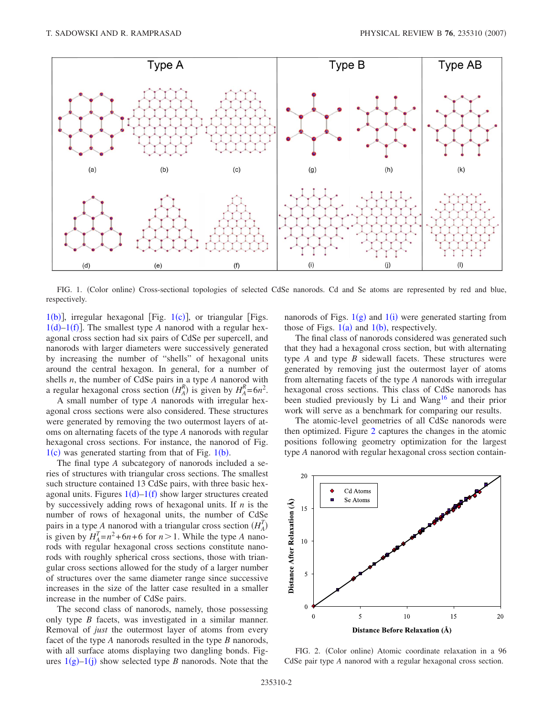<span id="page-1-0"></span>

FIG. 1. (Color online) Cross-sectional topologies of selected CdSe nanorods. Cd and Se atoms are represented by red and blue, respectively.

 $1(b)$  $1(b)$ ], irregular hexagonal [Fig.  $1(c)$ ], or triangular [Figs.  $1(d)-1(f)$  $1(d)-1(f)$  $1(d)-1(f)$ ]. The smallest type *A* nanorod with a regular hexagonal cross section had six pairs of CdSe per supercell, and nanorods with larger diameters were successively generated by increasing the number of "shells" of hexagonal units around the central hexagon. In general, for a number of shells *n*, the number of CdSe pairs in a type *A* nanorod with a regular hexagonal cross section  $(H_A^R)$  is given by  $H_A^R = 6n^2$ .

A small number of type *A* nanorods with irregular hexagonal cross sections were also considered. These structures were generated by removing the two outermost layers of atoms on alternating facets of the type *A* nanorods with regular hexagonal cross sections. For instance, the nanorod of Fig.  $1(c)$  $1(c)$  was generated starting from that of Fig.  $1(b)$ .

The final type *A* subcategory of nanorods included a series of structures with triangular cross sections. The smallest such structure contained 13 CdSe pairs, with three basic hexagonal units. Figures  $1(d) - 1(f)$  $1(d) - 1(f)$  show larger structures created by successively adding rows of hexagonal units. If *n* is the number of rows of hexagonal units, the number of CdSe pairs in a type *A* nanorod with a triangular cross section  $(H_A^T)$ is given by  $H_A^T = n^2 + 6n + 6$  for  $n > 1$ . While the type *A* nanorods with regular hexagonal cross sections constitute nanorods with roughly spherical cross sections, those with triangular cross sections allowed for the study of a larger number of structures over the same diameter range since successive increases in the size of the latter case resulted in a smaller increase in the number of CdSe pairs.

The second class of nanorods, namely, those possessing only type *B* facets, was investigated in a similar manner. Removal of *just* the outermost layer of atoms from every facet of the type *A* nanorods resulted in the type *B* nanorods, with all surface atoms displaying two dangling bonds. Figures  $1(g)-1(j)$  $1(g)-1(j)$  show selected type *B* nanorods. Note that the

nanorods of Figs.  $1(g)$  $1(g)$  and  $1(i)$  were generated starting from those of Figs.  $1(a)$  $1(a)$  and  $1(b)$ , respectively.

The final class of nanorods considered was generated such that they had a hexagonal cross section, but with alternating type *A* and type *B* sidewall facets. These structures were generated by removing just the outermost layer of atoms from alternating facets of the type *A* nanorods with irregular hexagonal cross sections. This class of CdSe nanorods has been studied previously by Li and Wang<sup>16</sup> and their prior work will serve as a benchmark for comparing our results.

The atomic-level geometries of all CdSe nanorods were then optimized. Figure [2](#page-1-1) captures the changes in the atomic positions following geometry optimization for the largest type *A* nanorod with regular hexagonal cross section contain-

<span id="page-1-1"></span>

FIG. 2. (Color online) Atomic coordinate relaxation in a 96 CdSe pair type *A* nanorod with a regular hexagonal cross section.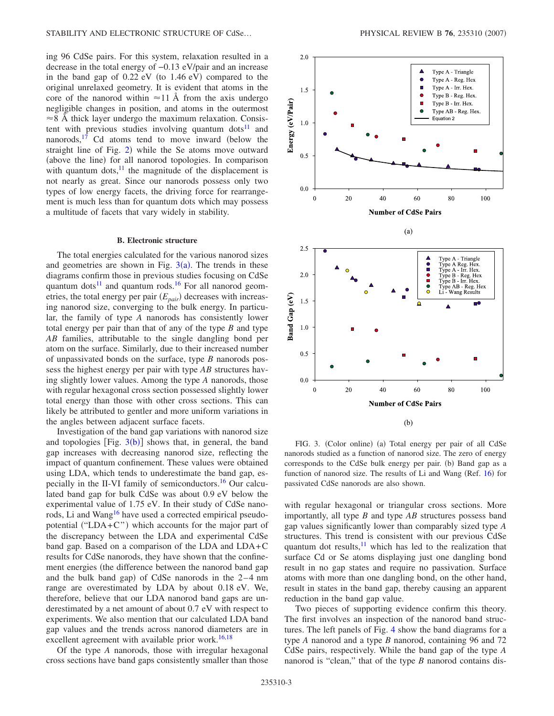ing 96 CdSe pairs. For this system, relaxation resulted in a decrease in the total energy of −0.13 eV/pair and an increase in the band gap of  $0.22$  eV (to  $1.46$  eV) compared to the original unrelaxed geometry. It is evident that atoms in the core of the nanorod within  $\approx$ 11 Å from the axis undergo negligible changes in position, and atoms in the outermost  $\approx$  8 Å thick layer undergo the maximum relaxation. Consistent with previous studies involving quantum dots $11$  and nanorods, $17$  Cd atoms tend to move inward (below the straight line of Fig. [2](#page-1-1)) while the Se atoms move outward (above the line) for all nanorod topologies. In comparison with quantum dots, $^{11}$  the magnitude of the displacement is not nearly as great. Since our nanorods possess only two types of low energy facets, the driving force for rearrangement is much less than for quantum dots which may possess a multitude of facets that vary widely in stability.

### **B. Electronic structure**

The total energies calculated for the various nanorod sizes and geometries are shown in Fig.  $3(a)$  $3(a)$ . The trends in these diagrams confirm those in previous studies focusing on CdSe quantum dots<sup>11</sup> and quantum rods.<sup>16</sup> For all nanorod geometries, the total energy per pair  $(E_{pair})$  decreases with increasing nanorod size, converging to the bulk energy. In particular, the family of type *A* nanorods has consistently lower total energy per pair than that of any of the type *B* and type *AB* families, attributable to the single dangling bond per atom on the surface. Similarly, due to their increased number of unpassivated bonds on the surface, type *B* nanorods possess the highest energy per pair with type *AB* structures having slightly lower values. Among the type *A* nanorods, those with regular hexagonal cross section possessed slightly lower total energy than those with other cross sections. This can likely be attributed to gentler and more uniform variations in the angles between adjacent surface facets.

Investigation of the band gap variations with nanorod size and topologies  $[Fig. 3(b)]$  $[Fig. 3(b)]$  $[Fig. 3(b)]$  shows that, in general, the band gap increases with decreasing nanorod size, reflecting the impact of quantum confinement. These values were obtained using LDA, which tends to underestimate the band gap, especially in the II-VI family of semiconductors.<sup>16</sup> Our calculated band gap for bulk CdSe was about 0.9 eV below the experimental value of 1.75 eV. In their study of CdSe nanorods, Li and Wang<sup>16</sup> have used a corrected empirical pseudopotential ("LDA+C") which accounts for the major part of the discrepancy between the LDA and experimental CdSe band gap. Based on a comparison of the LDA and LDA+C results for CdSe nanorods, they have shown that the confinement energies (the difference between the nanorod band gap and the bulk band gap) of CdSe nanorods in the 2-4 nm range are overestimated by LDA by about 0.18 eV. We, therefore, believe that our LDA nanorod band gaps are underestimated by a net amount of about 0.7 eV with respect to experiments. We also mention that our calculated LDA band gap values and the trends across nanorod diameters are in excellent agreement with available prior work.<sup>16[,18](#page-4-18)</sup>

Of the type *A* nanorods, those with irregular hexagonal cross sections have band gaps consistently smaller than those

<span id="page-2-0"></span>

FIG. 3. (Color online) (a) Total energy per pair of all CdSe nanorods studied as a function of nanorod size. The zero of energy corresponds to the CdSe bulk energy per pair. (b) Band gap as a function of nanorod size. The results of Li and Wang (Ref. [16](#page-4-16)) for passivated CdSe nanorods are also shown.

with regular hexagonal or triangular cross sections. More importantly, all type *B* and type *AB* structures possess band gap values significantly lower than comparably sized type *A* structures. This trend is consistent with our previous CdSe quantum dot results, $11$  which has led to the realization that surface Cd or Se atoms displaying just one dangling bond result in no gap states and require no passivation. Surface atoms with more than one dangling bond, on the other hand, result in states in the band gap, thereby causing an apparent reduction in the band gap value.

Two pieces of supporting evidence confirm this theory. The first involves an inspection of the nanorod band structures. The left panels of Fig. [4](#page-3-0) show the band diagrams for a type *A* nanorod and a type *B* nanorod, containing 96 and 72 CdSe pairs, respectively. While the band gap of the type *A* nanorod is "clean," that of the type *B* nanorod contains dis-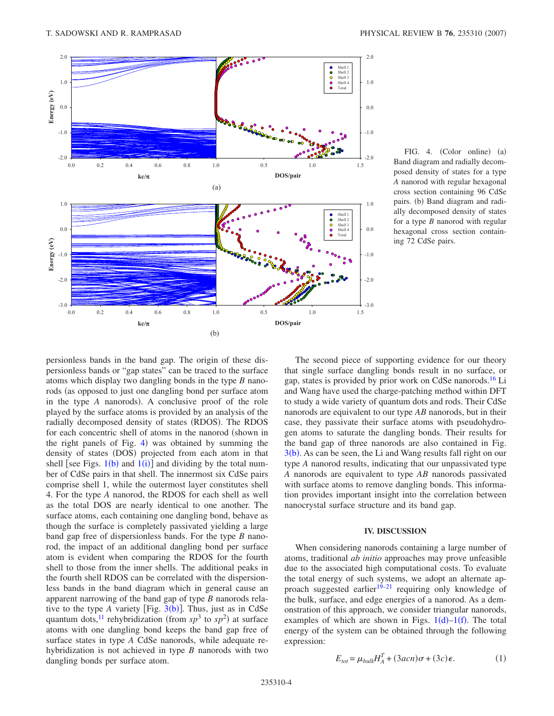<span id="page-3-0"></span>

FIG. 4. (Color online) (a) Band diagram and radially decomposed density of states for a type *A* nanorod with regular hexagonal cross section containing 96 CdSe pairs. (b) Band diagram and radially decomposed density of states for a type *B* nanorod with regular hexagonal cross section containing 72 CdSe pairs.

persionless bands in the band gap. The origin of these dispersionless bands or "gap states" can be traced to the surface atoms which display two dangling bonds in the type *B* nanorods (as opposed to just one dangling bond per surface atom in the type *A* nanorods). A conclusive proof of the role played by the surface atoms is provided by an analysis of the radially decomposed density of states (RDOS). The RDOS for each concentric shell of atoms in the nanorod (shown in the right panels of Fig. [4](#page-3-0)) was obtained by summing the density of states (DOS) projected from each atom in that shell [see Figs.  $1(b)$  $1(b)$  $1(b)$  and  $1(i)$  $1(i)$ ] and dividing by the total number of CdSe pairs in that shell. The innermost six CdSe pairs comprise shell 1, while the outermost layer constitutes shell 4. For the type *A* nanorod, the RDOS for each shell as well as the total DOS are nearly identical to one another. The surface atoms, each containing one dangling bond, behave as though the surface is completely passivated yielding a large band gap free of dispersionless bands. For the type *B* nanorod, the impact of an additional dangling bond per surface atom is evident when comparing the RDOS for the fourth shell to those from the inner shells. The additional peaks in the fourth shell RDOS can be correlated with the dispersionless bands in the band diagram which in general cause an apparent narrowing of the band gap of type *B* nanorods relative to the type *A* variety [Fig.  $3(b)$  $3(b)$ ]. Thus, just as in CdSe quantum dots, <sup>11</sup> rehybridization (from  $sp^3$  to  $sp^2$ ) at surface atoms with one dangling bond keeps the band gap free of surface states in type *A* CdSe nanorods, while adequate rehybridization is not achieved in type *B* nanorods with two dangling bonds per surface atom.

The second piece of supporting evidence for our theory that single surface dangling bonds result in no surface, or gap, states is provided by prior work on CdSe nanorods.<sup>16</sup> Li and Wang have used the charge-patching method within DFT to study a wide variety of quantum dots and rods. Their CdSe nanorods are equivalent to our type *AB* nanorods, but in their case, they passivate their surface atoms with pseudohydrogen atoms to saturate the dangling bonds. Their results for the band gap of three nanorods are also contained in Fig.  $3(b)$  $3(b)$ . As can be seen, the Li and Wang results fall right on our type *A* nanorod results, indicating that our unpassivated type *A* nanorods are equivalent to type *AB* nanorods passivated with surface atoms to remove dangling bonds. This information provides important insight into the correlation between nanocrystal surface structure and its band gap.

## **IV. DISCUSSION**

When considering nanorods containing a large number of atoms, traditional *ab initio* approaches may prove unfeasible due to the associated high computational costs. To evaluate the total energy of such systems, we adopt an alternate ap-proach suggested earlier<sup>19[–21](#page-4-20)</sup> requiring only knowledge of the bulk, surface, and edge energies of a nanorod. As a demonstration of this approach, we consider triangular nanorods, examples of which are shown in Figs.  $1(d)-1(f)$  $1(d)-1(f)$ . The total energy of the system can be obtained through the following expression:

<span id="page-3-1"></span>
$$
E_{tot} = \mu_{bulk} H_A^T + (3acn)\sigma + (3c)\epsilon.
$$
 (1)